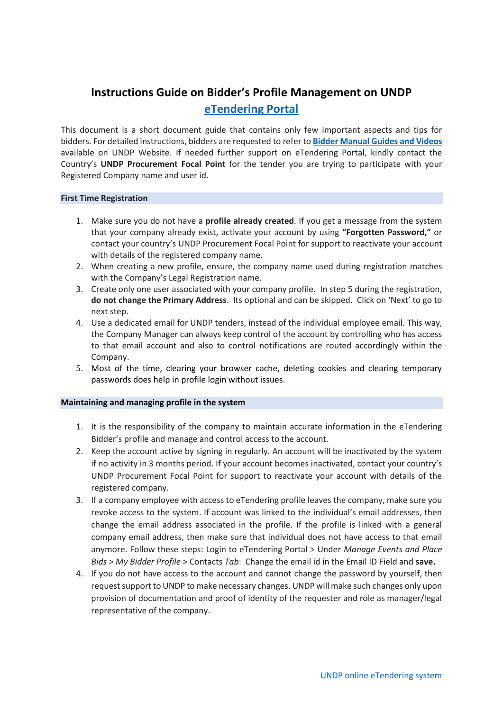# **Instructions Guide on Bidder's Profile Management on UNDP [eTendering Portal](https://etendering.partneragencies.org/)**

This document is a short document guide that contains only few important aspects and tips for bidders. For detailed instructions, bidders are requested to refer to **[Bidder Manual Guides and Videos](https://www.undp.org/content/undp/en/home/operations/procurement/business/procurement-notices/resources/)** available on UNDP Website. If needed further support on eTendering Portal, kindly contact the Country's **UNDP Procurement Focal Point** for the tender you are trying to participate with your Registered Company name and user id.

## **First Time Registration**

- 1. Make sure you do not have a **profile already created**. If you get a message from the system that your company already exist, activate your account by using **"Forgotten Password,"** or contact your country's UNDP Procurement Focal Point for support to reactivate your account with details of the registered company name.
- 2. When creating a new profile, ensure, the company name used during registration matches with the Company's Legal Registration name.
- 3. Create only one user associated with your company profile. In step 5 during the registration, **do not change the Primary Address**. Its optional and can be skipped. Click on 'Next' to go to next step.
- 4. Use a dedicated email for UNDP tenders, instead of the individual employee email. This way, the Company Manager can always keep control of the account by controlling who has access to that email account and also to control notifications are routed accordingly within the Company.
- 5. Most of the time, clearing your browser cache, deleting cookies and clearing temporary passwords does help in profile login without issues.

## **Maintaining and managing profile in the system**

- 1. It is the responsibility of the company to maintain accurate information in the eTendering Bidder's profile and manage and control access to the account.
- 2. Keep the account active by signing in regularly. An account will be inactivated by the system if no activity in 3 months period. If your account becomes inactivated, contact your country's UNDP Procurement Focal Point for support to reactivate your account with details of the registered company.
- 3. If a company employee with access to eTendering profile leaves the company, make sure you revoke access to the system. If account was linked to the individual's email addresses, then change the email address associated in the profile. If the profile is linked with a general company email address, then make sure that individual does not have access to that email anymore. Follow these steps: Login to eTendering Portal > Under *Manage Events and Place Bids* > *My Bidder Profile* > Contacts *Tab*: Change the email id in the Email ID Field and **save.**
- 4. If you do not have access to the account and cannot change the password by yourself, then request support to UNDP to make necessary changes. UNDP will make such changes only upon provision of documentation and proof of identity of the requester and role as manager/legal representative of the company.